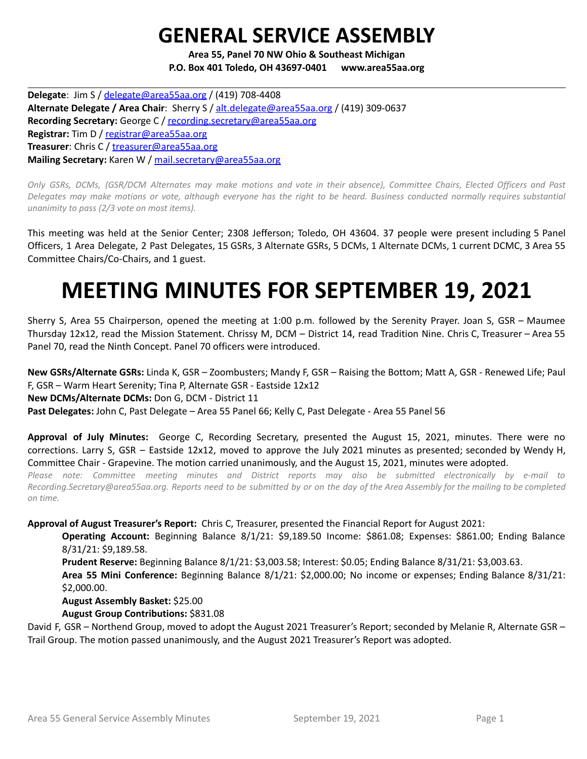# **GENERAL SERVICE ASSEMBLY**

**Area 55, Panel 70 NW Ohio & Southeast Michigan P.O. Box 401 Toledo, OH 43697-0401 www.area55aa.org**

**Delegate**: Jim S / [delegate@area55aa.org](mailto:delegate@area55aa.org) / (419) 708-4408 **Alternate Delegate / Area Chair**: Sherry S / [alt.delegate@area55aa.org](mailto:alt.delegate@area55aa.org) / (419) 309-0637 **Recording Secretary:** George C / [recording.secretary@area55aa.org](mailto:recording.secretary@area55aa.org) **Registrar:** Tim D / [registrar@area55aa.org](mailto:recording.secretary@area55aa.org) **Treasurer**: Chris C / [treasurer@area55aa.org](mailto:recording.secretary@area55aa.org) **Mailing Secretary:** Karen W / [mail.secretary@area55aa.org](mailto:recording.secretary@area55aa.org)

Only GSRs, DCMs, (GSR/DCM Alternates may make motions and vote in their absence), Committee Chairs, Elected Officers and Past Delegates may make motions or vote, although everyone has the right to be heard. Business conducted normally requires substantial *unanimity to pass (2/3 vote on most items).*

This meeting was held at the Senior Center; 2308 Jefferson; Toledo, OH 43604. 37 people were present including 5 Panel Officers, 1 Area Delegate, 2 Past Delegates, 15 GSRs, 3 Alternate GSRs, 5 DCMs, 1 Alternate DCMs, 1 current DCMC, 3 Area 55 Committee Chairs/Co-Chairs, and 1 guest.

# **MEETING MINUTES FOR SEPTEMBER 19, 2021**

Sherry S, Area 55 Chairperson, opened the meeting at 1:00 p.m. followed by the Serenity Prayer. Joan S, GSR – Maumee Thursday 12x12, read the Mission Statement. Chrissy M, DCM – District 14, read Tradition Nine. Chris C, Treasurer – Area 55 Panel 70, read the Ninth Concept. Panel 70 officers were introduced.

**New GSRs/Alternate GSRs:** Linda K, GSR – Zoombusters; Mandy F, GSR – Raising the Bottom; Matt A, GSR - Renewed Life; Paul F, GSR – Warm Heart Serenity; Tina P, Alternate GSR - Eastside 12x12

**New DCMs/Alternate DCMs:** Don G, DCM - District 11

**Past Delegates:** John C, Past Delegate – Area 55 Panel 66; Kelly C, Past Delegate - Area 55 Panel 56

**Approval of July Minutes:** George C, Recording Secretary, presented the August 15, 2021, minutes. There were no corrections. Larry S, GSR – Eastside 12x12, moved to approve the July 2021 minutes as presented; seconded by Wendy H, Committee Chair - Grapevine. The motion carried unanimously, and the August 15, 2021, minutes were adopted.

*Please note: Committee meeting minutes and District reports may also be submitted electronically by e-mail to* Recording.Secretary@area55aa.org. Reports need to be submitted by or on the day of the Area Assembly for the mailing to be completed *on time.*

**Approval of August Treasurer's Report:** Chris C, Treasurer, presented the Financial Report for August 2021:

**Operating Account:** Beginning Balance 8/1/21: \$9,189.50 Income: \$861.08; Expenses: \$861.00; Ending Balance 8/31/21: \$9,189.58.

**Prudent Reserve:** Beginning Balance 8/1/21: \$3,003.58; Interest: \$0.05; Ending Balance 8/31/21: \$3,003.63.

**Area 55 Mini Conference:** Beginning Balance 8/1/21: \$2,000.00; No income or expenses; Ending Balance 8/31/21: \$2,000.00.

**August Assembly Basket:** \$25.00

**August Group Contributions:** \$831.08

David F, GSR – Northend Group, moved to adopt the August 2021 Treasurer's Report; seconded by Melanie R, Alternate GSR – Trail Group. The motion passed unanimously, and the August 2021 Treasurer's Report was adopted.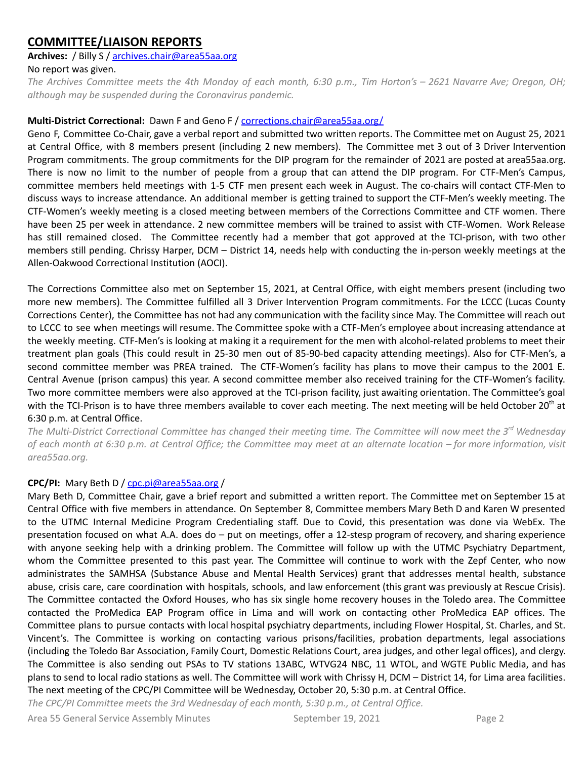## **COMMITTEE/LIAISON REPORTS**

## **Archives:** / Billy S / [archives.chair@area55aa.org](mailto:archives.chair@area55aa.org)

### No report was given.

The Archives Committee meets the 4th Monday of each month, 6:30 p.m., Tim Horton's - 2621 Navarre Ave; Oregon, OH; *although may be suspended during the Coronavirus pandemic.*

### **Multi-District Correctional:** Dawn F and Geno F / corrections.chair@area55aa.org/

Geno F, Committee Co-Chair, gave a verbal report and submitted two written reports. The Committee met on August 25, 2021 at Central Office, with 8 members present (including 2 new members). The Committee met 3 out of 3 Driver Intervention Program commitments. The group commitments for the DIP program for the remainder of 2021 are posted at area55aa.org. There is now no limit to the number of people from a group that can attend the DIP program. For CTF-Men's Campus, committee members held meetings with 1-5 CTF men present each week in August. The co-chairs will contact CTF-Men to discuss ways to increase attendance. An additional member is getting trained to support the CTF-Men's weekly meeting. The CTF-Women's weekly meeting is a closed meeting between members of the Corrections Committee and CTF women. There have been 25 per week in attendance. 2 new committee members will be trained to assist with CTF-Women. Work Release has still remained closed. The Committee recently had a member that got approved at the TCI-prison, with two other members still pending. Chrissy Harper, DCM – District 14, needs help with conducting the in-person weekly meetings at the Allen-Oakwood Correctional Institution (AOCI).

The Corrections Committee also met on September 15, 2021, at Central Office, with eight members present (including two more new members). The Committee fulfilled all 3 Driver Intervention Program commitments. For the LCCC (Lucas County Corrections Center), the Committee has not had any communication with the facility since May. The Committee will reach out to LCCC to see when meetings will resume. The Committee spoke with a CTF-Men's employee about increasing attendance at the weekly meeting. CTF-Men's is looking at making it a requirement for the men with alcohol-related problems to meet their treatment plan goals (This could result in 25-30 men out of 85-90-bed capacity attending meetings). Also for CTF-Men's, a second committee member was PREA trained. The CTF-Women's facility has plans to move their campus to the 2001 E. Central Avenue (prison campus) this year. A second committee member also received training for the CTF-Women's facility. Two more committee members were also approved at the TCI-prison facility, just awaiting orientation. The Committee's goal with the TCI-Prison is to have three members available to cover each meeting. The next meeting will be held October 20<sup>th</sup> at 6:30 p.m. at Central Office.

The Multi-District Correctional Committee has changed their meeting time. The Committee will now meet the 3<sup>rd</sup> Wednesday of each month at 6:30 p.m. at Central Office; the Committee may meet at an alternate location – for more information, visit *area55aa.org.*

## **CPC/PI:** Mary Beth D / [cpc.pi@area55aa.org](mailto:cpc.pi@area55aa.org) /

Mary Beth D, Committee Chair, gave a brief report and submitted a written report. The Committee met on September 15 at Central Office with five members in attendance. On September 8, Committee members Mary Beth D and Karen W presented to the UTMC Internal Medicine Program Credentialing staff. Due to Covid, this presentation was done via WebEx. The presentation focused on what A.A. does do – put on meetings, offer a 12-stesp program of recovery, and sharing experience with anyone seeking help with a drinking problem. The Committee will follow up with the UTMC Psychiatry Department, whom the Committee presented to this past year. The Committee will continue to work with the Zepf Center, who now administrates the SAMHSA (Substance Abuse and Mental Health Services) grant that addresses mental health, substance abuse, crisis care, care coordination with hospitals, schools, and law enforcement (this grant was previously at Rescue Crisis). The Committee contacted the Oxford Houses, who has six single home recovery houses in the Toledo area. The Committee contacted the ProMedica EAP Program office in Lima and will work on contacting other ProMedica EAP offices. The Committee plans to pursue contacts with local hospital psychiatry departments, including Flower Hospital, St. Charles, and St. Vincent's. The Committee is working on contacting various prisons/facilities, probation departments, legal associations (including the Toledo Bar Association, Family Court, Domestic Relations Court, area judges, and other legal offices), and clergy. The Committee is also sending out PSAs to TV stations 13ABC, WTVG24 NBC, 11 WTOL, and WGTE Public Media, and has plans to send to local radio stations as well. The Committee will work with Chrissy H, DCM – District 14, for Lima area facilities. The next meeting of the CPC/PI Committee will be Wednesday, October 20, 5:30 p.m. at Central Office.

*The CPC/PI Committee meets the 3rd Wednesday of each month, 5:30 p.m., at Central Office.*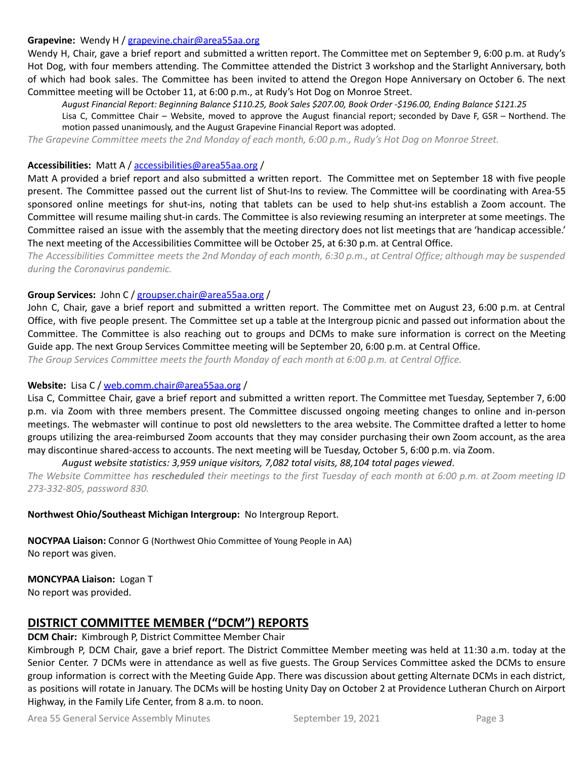#### **Grapevine:** Wendy H / [grapevine.chair@area55aa.org](mailto:grapevine.chair@area55aa.org)

Wendy H, Chair, gave a brief report and submitted a written report. The Committee met on September 9, 6:00 p.m. at Rudy's Hot Dog, with four members attending. The Committee attended the District 3 workshop and the Starlight Anniversary, both of which had book sales. The Committee has been invited to attend the Oregon Hope Anniversary on October 6. The next Committee meeting will be October 11, at 6:00 p.m., at Rudy's Hot Dog on Monroe Street.

*August Financial Report: Beginning Balance \$110.25, Book Sales \$207.00, Book Order -\$196.00, Ending Balance \$121.25*

Lisa C, Committee Chair – Website, moved to approve the August financial report; seconded by Dave F, GSR – Northend. The motion passed unanimously, and the August Grapevine Financial Report was adopted.

The Grapevine Committee meets the 2nd Monday of each month, 6:00 p.m., Rudy's Hot Dog on Monroe Street.

#### **Accessibilities:** Matt A / [accessibilities@area55aa.org](mailto:accessibilities@area55aa.org) /

Matt A provided a brief report and also submitted a written report. The Committee met on September 18 with five people present. The Committee passed out the current list of Shut-Ins to review. The Committee will be coordinating with Area-55 sponsored online meetings for shut-ins, noting that tablets can be used to help shut-ins establish a Zoom account. The Committee will resume mailing shut-in cards. The Committee is also reviewing resuming an interpreter at some meetings. The Committee raised an issue with the assembly that the meeting directory does not list meetings that are 'handicap accessible.' The next meeting of the Accessibilities Committee will be October 25, at 6:30 p.m. at Central Office.

The Accessibilities Committee meets the 2nd Monday of each month, 6:30 p.m., at Central Office; although may be suspended *during the Coronavirus pandemic.*

#### **Group Services:** John C / [groupser.chair@area55aa.org](mailto:groupser.chair@area55aa.org) /

John C, Chair, gave a brief report and submitted a written report. The Committee met on August 23, 6:00 p.m. at Central Office, with five people present. The Committee set up a table at the Intergroup picnic and passed out information about the Committee. The Committee is also reaching out to groups and DCMs to make sure information is correct on the Meeting Guide app. The next Group Services Committee meeting will be September 20, 6:00 p.m. at Central Office.

*The Group Services Committee meets the fourth Monday of each month at 6:00 p.m. at Central Office.*

#### **Website:** Lisa C / [web.comm.chair@area55aa.org](mailto:web.comm.chair@area55aa.org) /

Lisa C, Committee Chair, gave a brief report and submitted a written report. The Committee met Tuesday, September 7, 6:00 p.m. via Zoom with three members present. The Committee discussed ongoing meeting changes to online and in-person meetings. The webmaster will continue to post old newsletters to the area website. The Committee drafted a letter to home groups utilizing the area-reimbursed Zoom accounts that they may consider purchasing their own Zoom account, as the area may discontinue shared-access to accounts. The next meeting will be Tuesday, October 5, 6:00 p.m. via Zoom.

#### *August website statistics: 3,959 unique visitors, 7,082 total visits, 88,104 total pages viewed*.

The Website Committee has rescheduled their meetings to the first Tuesday of each month at 6:00 p.m. at Zoom meeting ID *273-332-805, password 830.*

**Northwest Ohio/Southeast Michigan Intergroup:** No Intergroup Report.

**NOCYPAA Liaison:** Connor G (Northwest Ohio Committee of Young People in AA) No report was given.

## **MONCYPAA Liaison:** Logan T

No report was provided.

## **DISTRICT COMMITTEE MEMBER ("DCM") REPORTS**

## **DCM Chair:** Kimbrough P, District Committee Member Chair

Kimbrough P, DCM Chair, gave a brief report. The District Committee Member meeting was held at 11:30 a.m. today at the Senior Center. 7 DCMs were in attendance as well as five guests. The Group Services Committee asked the DCMs to ensure group information is correct with the Meeting Guide App. There was discussion about getting Alternate DCMs in each district, as positions will rotate in January. The DCMs will be hosting Unity Day on October 2 at Providence Lutheran Church on Airport Highway, in the Family Life Center, from 8 a.m. to noon.